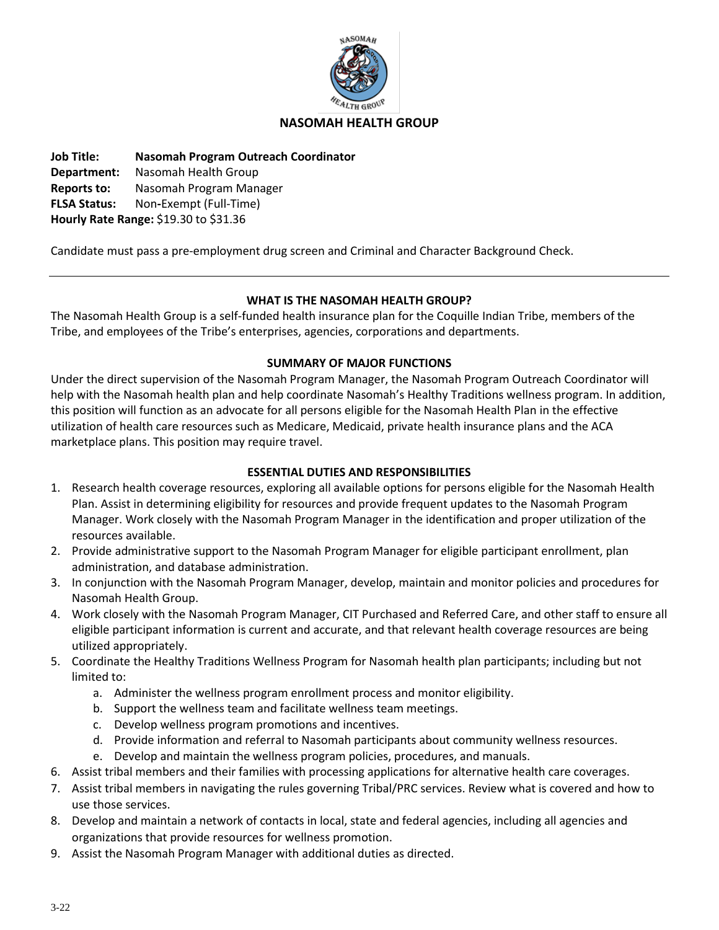

### **NASOMAH HEALTH GROUP**

**Job Title: Nasomah Program Outreach Coordinator Department:** Nasomah Health Group **Reports to:** Nasomah Program Manager **FLSA Status:** Non**-**Exempt (Full-Time)

**Hourly Rate Range:** \$19.30 to \$31.36

Candidate must pass a pre-employment drug screen and Criminal and Character Background Check.

### **WHAT IS THE NASOMAH HEALTH GROUP?**

The Nasomah Health Group is a self-funded health insurance plan for the Coquille Indian Tribe, members of the Tribe, and employees of the Tribe's enterprises, agencies, corporations and departments.

#### **SUMMARY OF MAJOR FUNCTIONS**

Under the direct supervision of the Nasomah Program Manager, the Nasomah Program Outreach Coordinator will help with the Nasomah health plan and help coordinate Nasomah's Healthy Traditions wellness program. In addition, this position will function as an advocate for all persons eligible for the Nasomah Health Plan in the effective utilization of health care resources such as Medicare, Medicaid, private health insurance plans and the ACA marketplace plans. This position may require travel.

## **ESSENTIAL DUTIES AND RESPONSIBILITIES**

- 1. Research health coverage resources, exploring all available options for persons eligible for the Nasomah Health Plan. Assist in determining eligibility for resources and provide frequent updates to the Nasomah Program Manager. Work closely with the Nasomah Program Manager in the identification and proper utilization of the resources available.
- 2. Provide administrative support to the Nasomah Program Manager for eligible participant enrollment, plan administration, and database administration.
- 3. In conjunction with the Nasomah Program Manager, develop, maintain and monitor policies and procedures for Nasomah Health Group.
- 4. Work closely with the Nasomah Program Manager, CIT Purchased and Referred Care, and other staff to ensure all eligible participant information is current and accurate, and that relevant health coverage resources are being utilized appropriately.
- 5. Coordinate the Healthy Traditions Wellness Program for Nasomah health plan participants; including but not limited to:
	- a. Administer the wellness program enrollment process and monitor eligibility.
	- b. Support the wellness team and facilitate wellness team meetings.
	- c. Develop wellness program promotions and incentives.
	- d. Provide information and referral to Nasomah participants about community wellness resources.
	- e. Develop and maintain the wellness program policies, procedures, and manuals.
- 6. Assist tribal members and their families with processing applications for alternative health care coverages.
- 7. Assist tribal members in navigating the rules governing Tribal/PRC services. Review what is covered and how to use those services.
- 8. Develop and maintain a network of contacts in local, state and federal agencies, including all agencies and organizations that provide resources for wellness promotion.
- 9. Assist the Nasomah Program Manager with additional duties as directed.